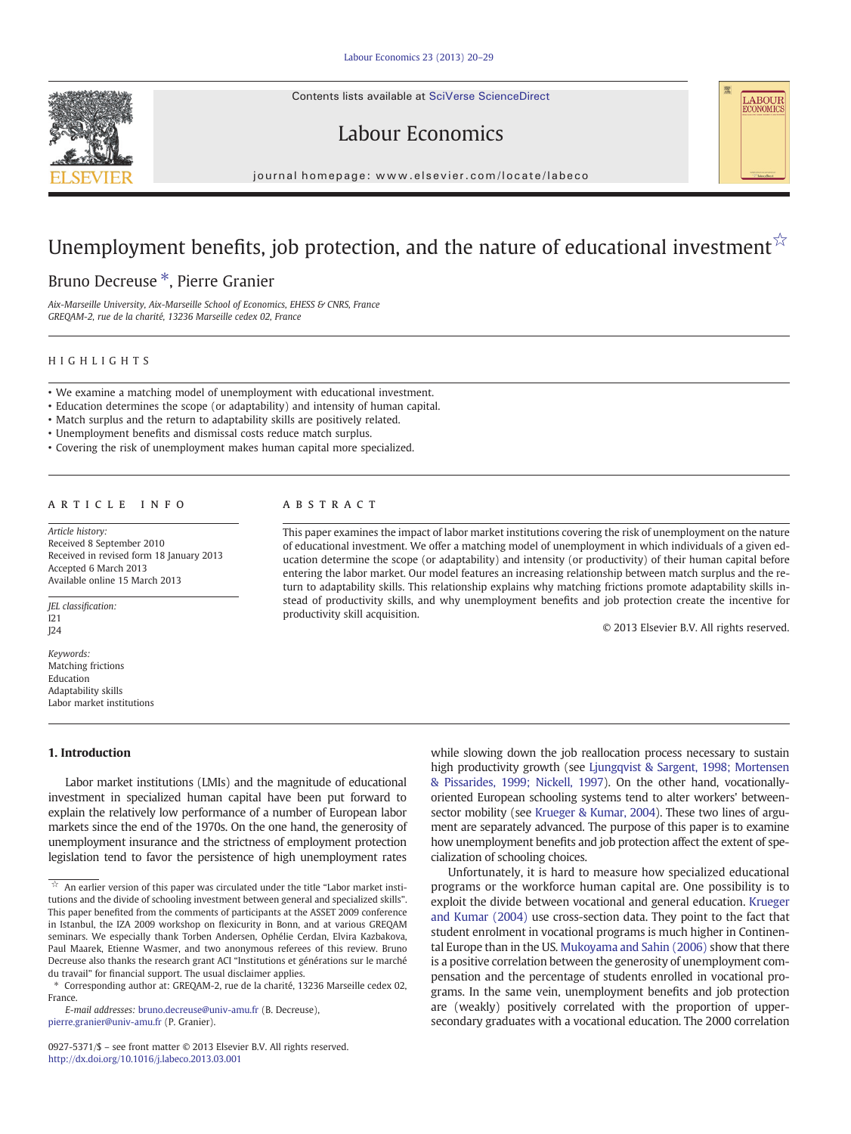Contents lists available at SciVerse ScienceDirect





journal homepage: www.elsevier.com/locate/labeco

# Unemployment benefits, job protection, and the nature of educational investment  $\hat{x}$

### Bruno Decreuse<sup>\*</sup>, Pierre Granier

Aix-Marseille University, Aix-Marseille School of Economics, EHESS & CNRS, France GREQAM-2, rue de la charité, 13236 Marseille cedex 02, France

#### HIGHLIGHTS

- We examine a matching model of unemployment with educational investment.
- Education determines the scope (or adaptability) and intensity of human capital.
- Match surplus and the return to adaptability skills are positively related.
- Unemployment benefits and dismissal costs reduce match surplus.
- Covering the risk of unemployment makes human capital more specialized.

### article info abstract

Article history: Received 8 September 2010 Received in revised form 18 January 2013 Accepted 6 March 2013 Available online 15 March 2013

JEL classification: I21 J24

Keywords: Matching frictions Education Adaptability skills Labor market institutions

#### 1. Introduction

Labor market institutions (LMIs) and the magnitude of educational investment in specialized human capital have been put forward to explain the relatively low performance of a number of European labor markets since the end of the 1970s. On the one hand, the generosity of unemployment insurance and the strictness of employment protection legislation tend to favor the persistence of high unemployment rates

0927-5371/\$ – see front matter © 2013 Elsevier B.V. All rights reserved. <http://dx.doi.org/10.1016/j.labeco.2013.03.001>

This paper examines the impact of labor market institutions covering the risk of unemployment on the nature of educational investment. We offer a matching model of unemployment in which individuals of a given education determine the scope (or adaptability) and intensity (or productivity) of their human capital before entering the labor market. Our model features an increasing relationship between match surplus and the return to adaptability skills. This relationship explains why matching frictions promote adaptability skills instead of productivity skills, and why unemployment benefits and job protection create the incentive for productivity skill acquisition.

© 2013 Elsevier B.V. All rights reserved.

LABOUR<br>ECONOMICS

while slowing down the job reallocation process necessary to sustain high productivity growth (see [Ljungqvist & Sargent, 1998; Mortensen](#page--1-0) [& Pissarides, 1999; Nickell, 1997](#page--1-0)). On the other hand, vocationallyoriented European schooling systems tend to alter workers' betweensector mobility (see [Krueger & Kumar, 2004\)](#page--1-0). These two lines of argument are separately advanced. The purpose of this paper is to examine how unemployment benefits and job protection affect the extent of specialization of schooling choices.

Unfortunately, it is hard to measure how specialized educational programs or the workforce human capital are. One possibility is to exploit the divide between vocational and general education. [Krueger](#page--1-0) [and Kumar \(2004\)](#page--1-0) use cross-section data. They point to the fact that student enrolment in vocational programs is much higher in Continental Europe than in the US. [Mukoyama and Sahin \(2006\)](#page--1-0) show that there is a positive correlation between the generosity of unemployment compensation and the percentage of students enrolled in vocational programs. In the same vein, unemployment benefits and job protection are (weakly) positively correlated with the proportion of uppersecondary graduates with a vocational education. The 2000 correlation

 $\overrightarrow{r}$  An earlier version of this paper was circulated under the title "Labor market institutions and the divide of schooling investment between general and specialized skills". This paper benefited from the comments of participants at the ASSET 2009 conference in Istanbul, the IZA 2009 workshop on flexicurity in Bonn, and at various GREQAM seminars. We especially thank Torben Andersen, Ophélie Cerdan, Elvira Kazbakova, Paul Maarek, Etienne Wasmer, and two anonymous referees of this review. Bruno Decreuse also thanks the research grant ACI "Institutions et générations sur le marché du travail" for financial support. The usual disclaimer applies.

<sup>⁎</sup> Corresponding author at: GREQAM-2, rue de la charité, 13236 Marseille cedex 02, France.

E-mail addresses: [bruno.decreuse@univ-amu.fr](mailto:bruno.decreuse@univ-amu.fr) (B. Decreuse), [pierre.granier@univ-amu.fr](mailto:pierre.granier@univ-amu.fr) (P. Granier).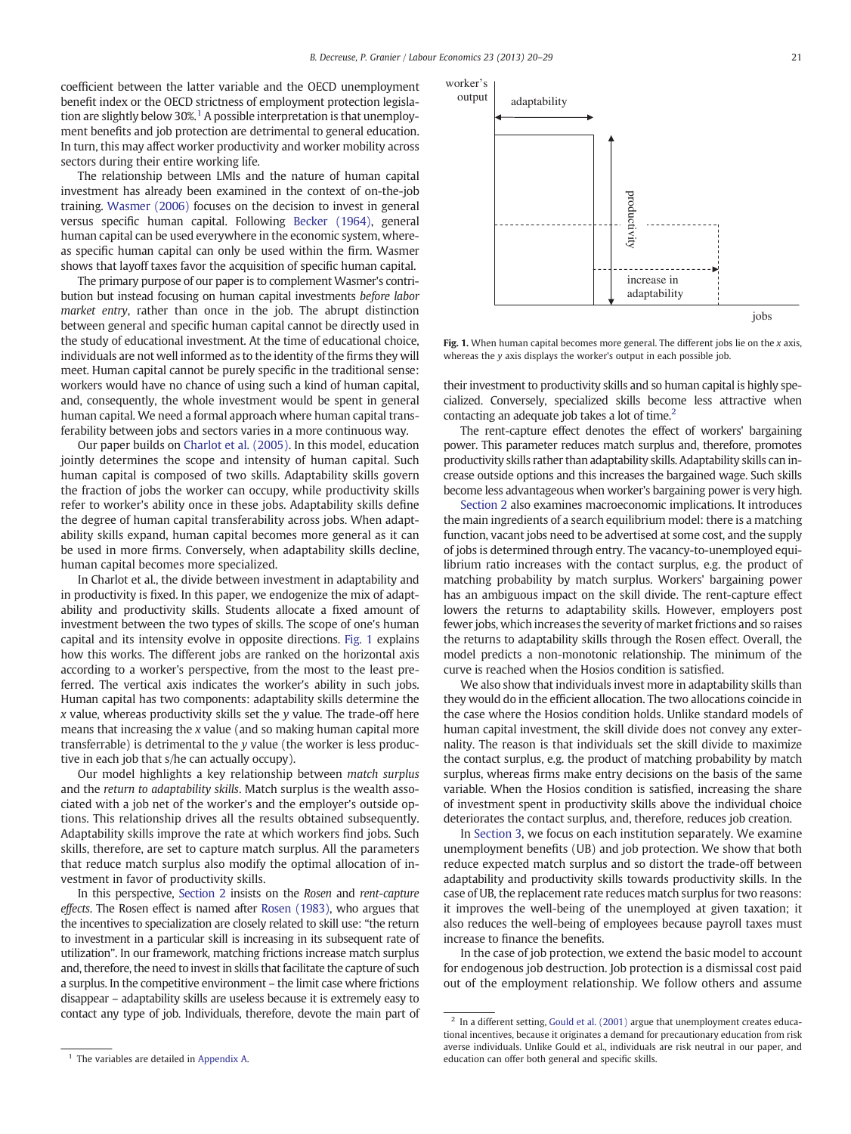coefficient between the latter variable and the OECD unemployment benefit index or the OECD strictness of employment protection legislation are slightly below 30%.<sup>1</sup> A possible interpretation is that unemployment benefits and job protection are detrimental to general education. In turn, this may affect worker productivity and worker mobility across sectors during their entire working life.

The relationship between LMIs and the nature of human capital investment has already been examined in the context of on-the-job training. [Wasmer \(2006\)](#page--1-0) focuses on the decision to invest in general versus specific human capital. Following [Becker \(1964\),](#page--1-0) general human capital can be used everywhere in the economic system, whereas specific human capital can only be used within the firm. Wasmer shows that layoff taxes favor the acquisition of specific human capital.

The primary purpose of our paper is to complement Wasmer's contribution but instead focusing on human capital investments before labor market entry, rather than once in the job. The abrupt distinction between general and specific human capital cannot be directly used in the study of educational investment. At the time of educational choice, individuals are not well informed as to the identity of the firms they will meet. Human capital cannot be purely specific in the traditional sense: workers would have no chance of using such a kind of human capital, and, consequently, the whole investment would be spent in general human capital. We need a formal approach where human capital transferability between jobs and sectors varies in a more continuous way.

Our paper builds on [Charlot et al. \(2005\).](#page--1-0) In this model, education jointly determines the scope and intensity of human capital. Such human capital is composed of two skills. Adaptability skills govern the fraction of jobs the worker can occupy, while productivity skills refer to worker's ability once in these jobs. Adaptability skills define the degree of human capital transferability across jobs. When adaptability skills expand, human capital becomes more general as it can be used in more firms. Conversely, when adaptability skills decline, human capital becomes more specialized.

In Charlot et al., the divide between investment in adaptability and in productivity is fixed. In this paper, we endogenize the mix of adaptability and productivity skills. Students allocate a fixed amount of investment between the two types of skills. The scope of one's human capital and its intensity evolve in opposite directions. Fig. 1 explains how this works. The different jobs are ranked on the horizontal axis according to a worker's perspective, from the most to the least preferred. The vertical axis indicates the worker's ability in such jobs. Human capital has two components: adaptability skills determine the x value, whereas productivity skills set the  $\nu$  value. The trade-off here means that increasing the x value (and so making human capital more transferrable) is detrimental to the y value (the worker is less productive in each job that s/he can actually occupy).

Our model highlights a key relationship between match surplus and the return to adaptability skills. Match surplus is the wealth associated with a job net of the worker's and the employer's outside options. This relationship drives all the results obtained subsequently. Adaptability skills improve the rate at which workers find jobs. Such skills, therefore, are set to capture match surplus. All the parameters that reduce match surplus also modify the optimal allocation of investment in favor of productivity skills.

In this perspective, [Section 2](#page--1-0) insists on the Rosen and rent-capture effects. The Rosen effect is named after [Rosen \(1983\),](#page--1-0) who argues that the incentives to specialization are closely related to skill use: "the return to investment in a particular skill is increasing in its subsequent rate of utilization". In our framework, matching frictions increase match surplus and, therefore, the need to invest in skills that facilitate the capture of such a surplus. In the competitive environment – the limit case where frictions disappear – adaptability skills are useless because it is extremely easy to contact any type of job. Individuals, therefore, devote the main part of





Fig. 1. When human capital becomes more general. The different jobs lie on the  $x$  axis, whereas the y axis displays the worker's output in each possible job.

their investment to productivity skills and so human capital is highly specialized. Conversely, specialized skills become less attractive when contacting an adequate job takes a lot of time.<sup>2</sup>

The rent-capture effect denotes the effect of workers' bargaining power. This parameter reduces match surplus and, therefore, promotes productivity skills rather than adaptability skills. Adaptability skills can increase outside options and this increases the bargained wage. Such skills become less advantageous when worker's bargaining power is very high.

[Section 2](#page--1-0) also examines macroeconomic implications. It introduces the main ingredients of a search equilibrium model: there is a matching function, vacant jobs need to be advertised at some cost, and the supply of jobs is determined through entry. The vacancy-to-unemployed equilibrium ratio increases with the contact surplus, e.g. the product of matching probability by match surplus. Workers' bargaining power has an ambiguous impact on the skill divide. The rent-capture effect lowers the returns to adaptability skills. However, employers post fewer jobs, which increases the severity of market frictions and so raises the returns to adaptability skills through the Rosen effect. Overall, the model predicts a non-monotonic relationship. The minimum of the curve is reached when the Hosios condition is satisfied.

We also show that individuals invest more in adaptability skills than they would do in the efficient allocation. The two allocations coincide in the case where the Hosios condition holds. Unlike standard models of human capital investment, the skill divide does not convey any externality. The reason is that individuals set the skill divide to maximize the contact surplus, e.g. the product of matching probability by match surplus, whereas firms make entry decisions on the basis of the same variable. When the Hosios condition is satisfied, increasing the share of investment spent in productivity skills above the individual choice deteriorates the contact surplus, and, therefore, reduces job creation.

In [Section 3](#page--1-0), we focus on each institution separately. We examine unemployment benefits (UB) and job protection. We show that both reduce expected match surplus and so distort the trade-off between adaptability and productivity skills towards productivity skills. In the case of UB, the replacement rate reduces match surplus for two reasons: it improves the well-being of the unemployed at given taxation; it also reduces the well-being of employees because payroll taxes must increase to finance the benefits.

In the case of job protection, we extend the basic model to account for endogenous job destruction. Job protection is a dismissal cost paid out of the employment relationship. We follow others and assume

<sup>&</sup>lt;sup>1</sup> The variables are detailed in [Appendix A.](#page--1-0)

 $2$  In a different setting, [Gould et al. \(2001\)](#page--1-0) argue that unemployment creates educational incentives, because it originates a demand for precautionary education from risk averse individuals. Unlike Gould et al., individuals are risk neutral in our paper, and education can offer both general and specific skills.